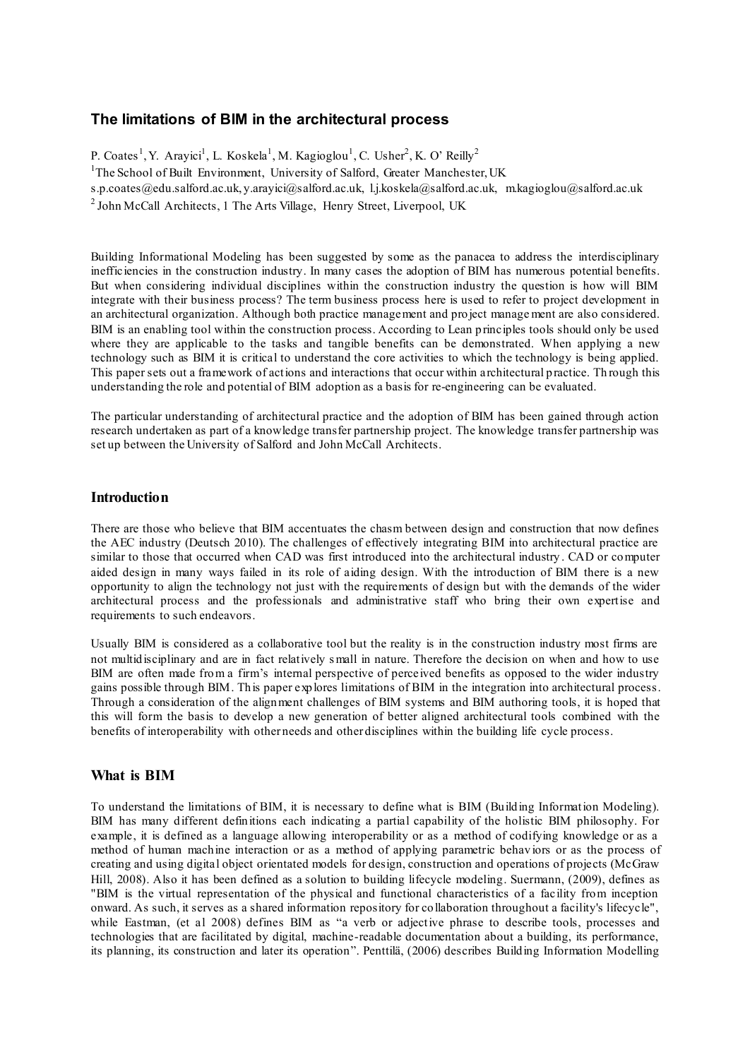## **The limitations of BIM in the architectural process**

P. Coates<sup>1</sup>, Y. Arayici<sup>1</sup>, L. Koskela<sup>1</sup>, M. Kagioglou<sup>1</sup>, C. Usher<sup>2</sup>, K. O' Reilly<sup>2</sup> <sup>1</sup>The School of Built Environment, University of Salford, Greater Manchester, UK s.p.coates@edu.salford.ac.uk, y.arayici@salford.ac.uk, l.j.koskela@salford.ac.uk, m.kagioglou@salford.ac.uk

<sup>2</sup> John McCall Architects, 1 The Arts Village, Henry Street, Liverpool, UK

Building Informational Modeling has been suggested by some as the panacea to address the interdisciplinary inefficiencies in the construction industry. In many cases the adoption of BIM has numerous potential benefits. But when considering individual disciplines within the construction industry the question is how will BIM integrate with their business process? The term business process here is used to refer to project development in an architectural organization. Although both practice management and project manage ment are also considered. BIM is an enabling tool within the construction process. According to Lean principles tools should only be used where they are applicable to the tasks and tangible benefits can be demonstrated. When applying a new technology such as BIM it is critical to understand the core activities to which the technology is being applied. This paper sets out a framework of actions and interactions that occur within architectural practice. Th rough this understanding the role and potential of BIM adoption as a basis for re-engineering can be evaluated.

The particular understanding of architectural practice and the adoption of BIM has been gained through action research undertaken as part of a knowledge transfer partnership project. The knowledge transfer partnership was set up between the University of Salford and John McCall Architects.

## **Introduction**

There are those who believe that BIM accentuates the chasm between design and construction that now defines the AEC industry (Deutsch 2010). The challenges of effectively integrating BIM into architectural practice are similar to those that occurred when CAD was first introduced into the architectural industry . CAD or computer aided design in many ways failed in its role of aiding design. With the introduction of BIM there is a new opportunity to align the technology not just with the requirements of design but with the demands of the wider architectural process and the professionals and administrative staff who bring their own expertise and requirements to such endeavors.

Usually BIM is considered as a collaborative tool but the reality is in the construction industry most firms are not multidisciplinary and are in fact relatively s mall in nature. Therefore the decision on when and how to use BIM are often made from a firm's internal perspective of perceived benefits as opposed to the wider industry gains possible through BIM. This paper explores limitations of BIM in the integration into architectural process. Through a consideration of the alignment challenges of BIM systems and BIM authoring tools, it is hoped that this will form the basis to develop a new generation of better aligned architectural tools combined with the benefits of interoperability with other needs and other disciplines within the building life cycle process.

## **What is BIM**

To understand the limitations of BIM, it is necessary to define what is BIM (Building Information Modeling). BIM has many different definitions each indicating a partial capability of the holistic BIM philosophy. For example, it is defined as a language allowing interoperability or as a method of codifying knowledge or as a method of human machine interaction or as a method of applying parametric behav iors or as the process of creating and using digital object orientated models for design, construction and operations of projects (McGraw Hill, 2008). Also it has been defined as a solution to building lifecycle modeling. Suermann, (2009), defines as "BIM is the virtual representation of the physical and functional characteristics of a facility from inception onward. As such, it serves as a shared information repository for collaboration throughout a facility's lifecycle", while Eastman, (et al 2008) defines BIM as "a verb or adjective phrase to describe tools, processes and technologies that are facilitated by digital, machine-readable documentation about a building, its performance, its planning, its construction and later its operation". Penttilä, (2006) describes Building Information Modelling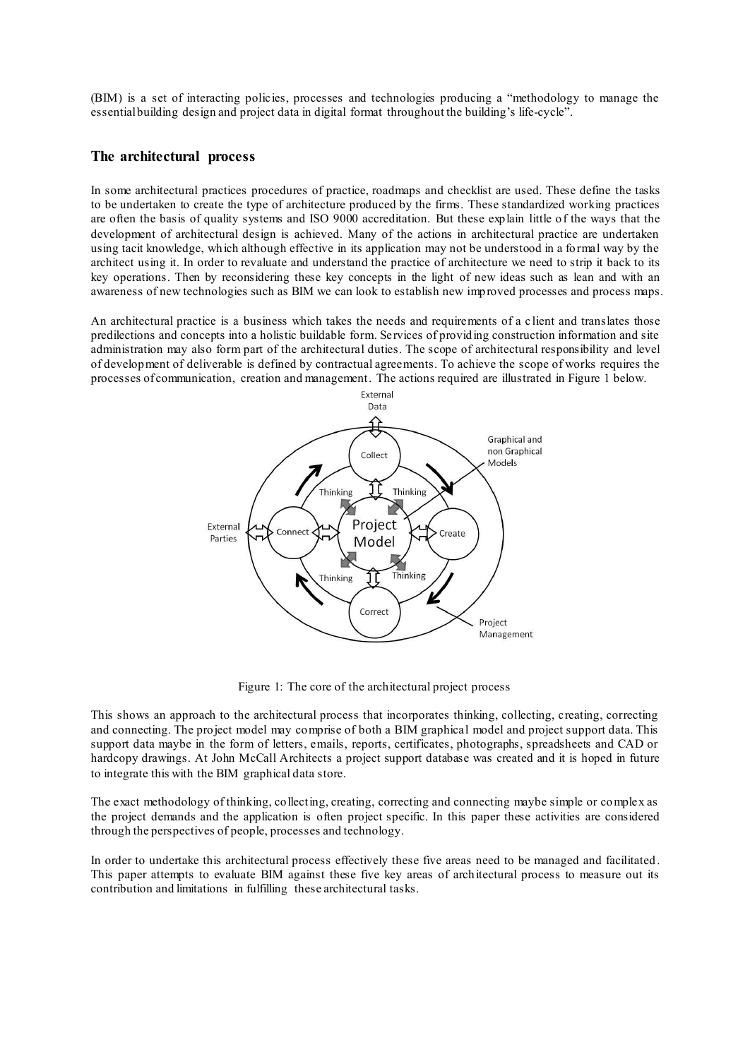(BIM) is a set of interacting policies, processes and technologies producing a "methodology to manage the essential building design and project data in digital format throughout the building's life-cycle".

## **The architectural process**

In some architectural practices procedures of practice, roadmaps and checklist are used. These define the tasks to be undertaken to create the type of architecture produced by the firms. These standardized working practices are often the basis of quality systems and ISO 9000 accreditation. But these explain little of the ways that the development of architectural design is achieved. Many of the actions in architectural practice are undertaken using tacit knowledge, which although effective in its application may not be understood in a formal way by the architect using it. In order to revaluate and understand the practice of architecture we need to strip it back to its key operations. Then by reconsidering these key concepts in the light of new ideas such as lean and with an awareness of new technologies such as BIM we can look to establish new improved processes and process maps.

An architectural practice is a business which takes the needs and requirements of a c lient and translates those predilections and concepts into a holistic buildable form. Services of providing construction information and site administration may also form part of the architectural duties. The scope of architectural responsibility and level of development of deliverable is defined by contractual agreements. To achieve the scope of works requires the processes of communication, creation and management. The actions required are illustrated in Figure 1 below.



Figure 1: The core of the architectural project process

This shows an approach to the architectural process that incorporates thinking, collecting, creating, correcting and connecting. The project model may comprise of both a BIM graphical model and project support data. This support data maybe in the form of letters, emails, reports, certificates, photographs, spreadsheets and CAD or hardcopy drawings. At John McCall Architects a project support database was created and it is hoped in future to integrate this with the BIM graphical data store.

The exact methodology of thinking, collecting, creating, correcting and connecting maybe simple or complex as the project demands and the application is often project specific. In this paper these activities are considered through the perspectives of people, processes and technology.

In order to undertake this architectural process effectively these five areas need to be managed and facilitated . This paper attempts to evaluate BIM against these five key areas of architectural process to measure out its contribution and limitations in fulfilling these architectural tasks.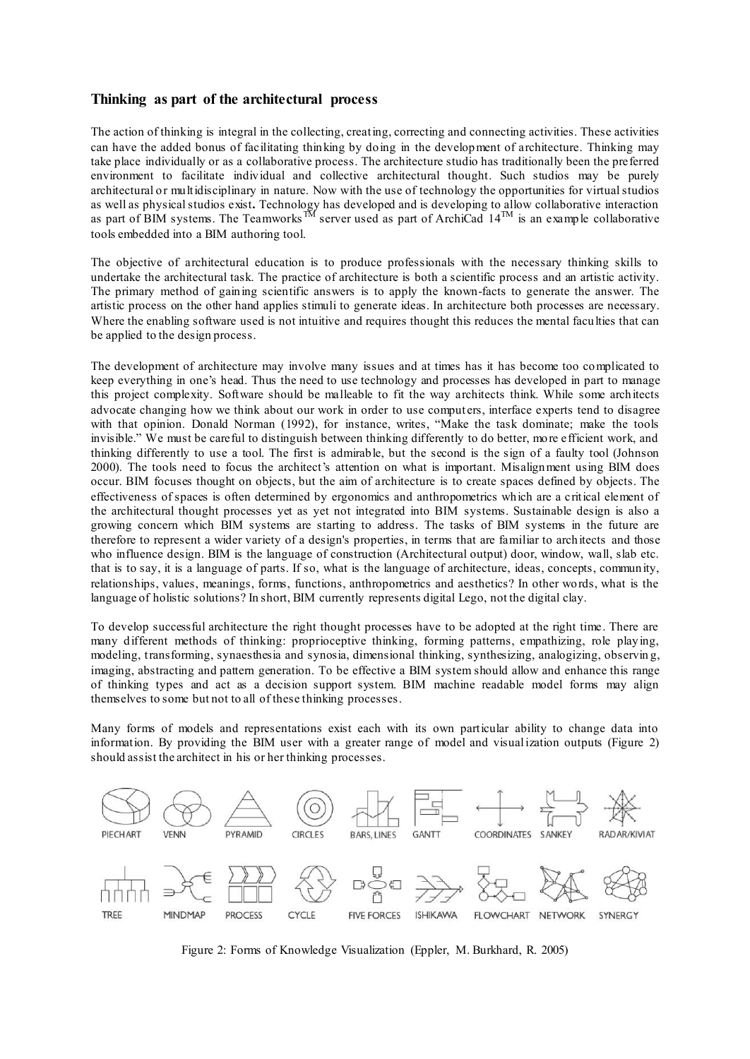## **Thinking as part of the architectural process**

The action of thinking is integral in the collecting, creating, correcting and connecting activities. These activities can have the added bonus of facilitating thinking by doing in the development of architecture. Thinking may take place individually or as a collaborative process. The architecture studio has traditionally been the preferred environment to facilitate individual and collective architectural thought. Such studios may be purely architectural or multidisciplinary in nature. Now with the use of technology the opportunities for virtual studios as well as physical studios exist**.** Technology has developed and is developing to allow collaborative interaction as part of BIM systems. The Teamworks<sup>TM</sup> server used as part of ArchiCad  $14^{TM}$  is an example collaborative tools embedded into a BIM authoring tool.

The objective of architectural education is to produce professionals with the necessary thinking skills to undertake the architectural task. The practice of architecture is both a scientific process and an artistic activity. The primary method of gaining scientific answers is to apply the known-facts to generate the answer. The artistic process on the other hand applies stimuli to generate ideas. In architecture both processes are necessary. Where the enabling software used is not intuitive and requires thought this reduces the mental faculties that can be applied to the design process.

The development of architecture may involve many issues and at times has it has become too complicated to keep everything in one's head. Thus the need to use technology and processes has developed in part to manage this project complexity. Software should be malleable to fit the way architects think. While some architects advocate changing how we think about our work in order to use computers, interface experts tend to disagree with that opinion. Donald Norman (1992), for instance, writes, "Make the task dominate; make the tools invisible." We must be careful to distinguish between thinking differently to do better, more efficient work, and thinking differently to use a tool. The first is admirable, but the second is the sign of a faulty tool (Johnson 2000). The tools need to focus the architect's attention on what is important. Misalignment using BIM does occur. BIM focuses thought on objects, but the aim of architecture is to create spaces defined by objects. The effectiveness of spaces is often determined by ergonomics and anthropometrics which are a critical element of the architectural thought processes yet as yet not integrated into BIM systems. Sustainable design is also a growing concern which BIM systems are starting to address. The tasks of BIM systems in the future are therefore to represent a wider variety of a design's properties, in terms that are familiar to architects and those who influence design. BIM is the language of construction (Architectural output) door, window, wall, slab etc. that is to say, it is a language of parts. If so, what is the language of architecture, ideas, concepts, community, relationships, values, meanings, forms, functions, anthropometrics and aesthetics? In other words, what is the language of holistic solutions? In short, BIM currently represents digital Lego, not the digital clay.

To develop successful architecture the right thought processes have to be adopted at the right time. There are many different methods of thinking: proprioceptive thinking, forming patterns, empathizing, role playing, modeling, transforming, synaesthesia and synosia, dimensional thinking, synthesizing, analogizing, observin g, imaging, abstracting and pattern generation. To be effective a BIM system should allow and enhance this range of thinking types and act as a decision support system. BIM machine readable model forms may align themselves to some but not to all of these thinking processes.

Many forms of models and representations exist each with its own particular ability to change data into information. By providing the BIM user with a greater range of model and visualization outputs (Figure 2) should assist the architect in his or her thinking processes.



Figure 2: Forms of Knowledge Visualization (Eppler, M. Burkhard, R. 2005)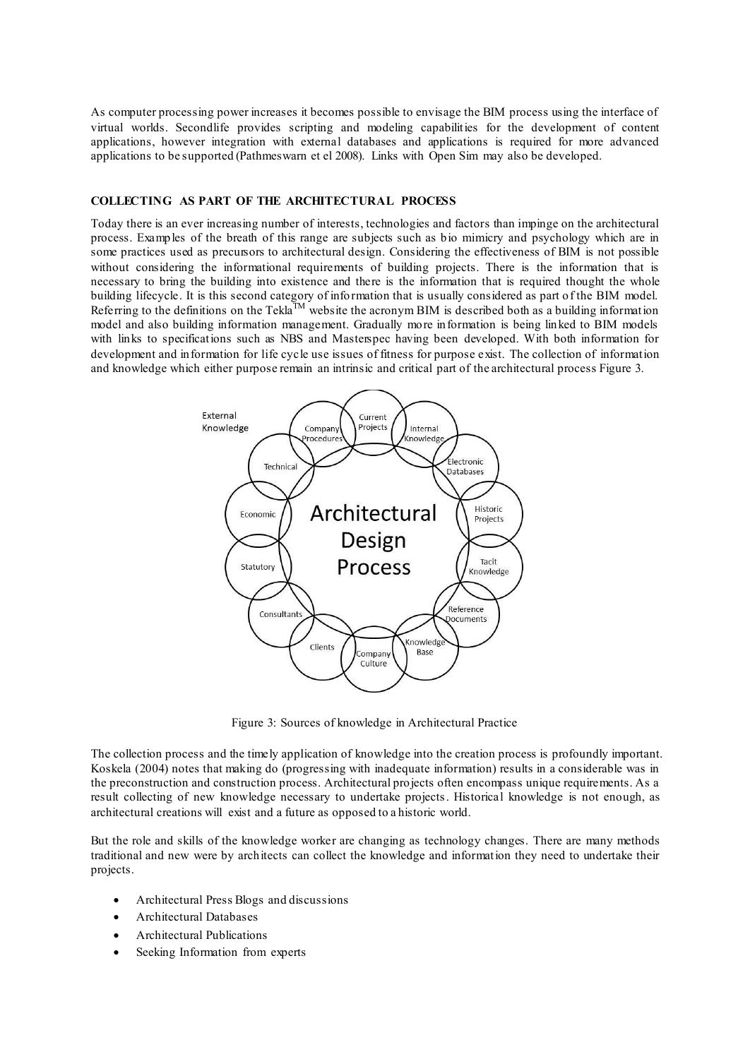As computer processing power increases it becomes possible to envisage the BIM process using the interface of virtual worlds. Secondlife provides scripting and modeling capabilities for the development of content applications, however integration with external databases and applications is required for more advanced applications to be supported (Pathmeswarn et el 2008). Links with Open Sim may also be developed.

## **COLLECTING AS PART OF THE ARCHITECTURAL PROCESS**

Today there is an ever increasing number of interests, technologies and factors than impinge on the architectural process. Examples of the breath of this range are subjects such as bio mimicry and psychology which are in some practices used as precursors to architectural design. Considering the effectiveness of BIM is not possible without considering the informational requirements of building projects. There is the information that is necessary to bring the building into existence and there is the information that is required thought the whole building lifecycle. It is this second category of information that is usually considered as part of the BIM model. Referring to the definitions on the Tekla<sup>TM</sup> website the acronym BIM is described both as a building information model and also building information management. Gradually more information is being linked to BIM models with links to specifications such as NBS and Masterspec having been developed. With both information for development and information for life cycle use issues of fitness for purpose exist. The collection of information and knowledge which either purpose remain an intrinsic and critical part of the architectural process Figure 3.



Figure 3: Sources of knowledge in Architectural Practice

The collection process and the timely application of knowledge into the creation process is profoundly important. Koskela (2004) notes that making do (progressing with inadequate information) results in a considerable was in the preconstruction and construction process. Architectural projects often encompass unique requirements. As a result collecting of new knowledge necessary to undertake projects. Historical knowledge is not enough, as architectural creations will exist and a future as opposed to a historic world.

But the role and skills of the knowledge worker are changing as technology changes. There are many methods traditional and new were by architects can collect the knowledge and information they need to undertake their projects.

- Architectural Press Blogs and discussions
- Architectural Databases
- Architectural Publications
- Seeking Information from experts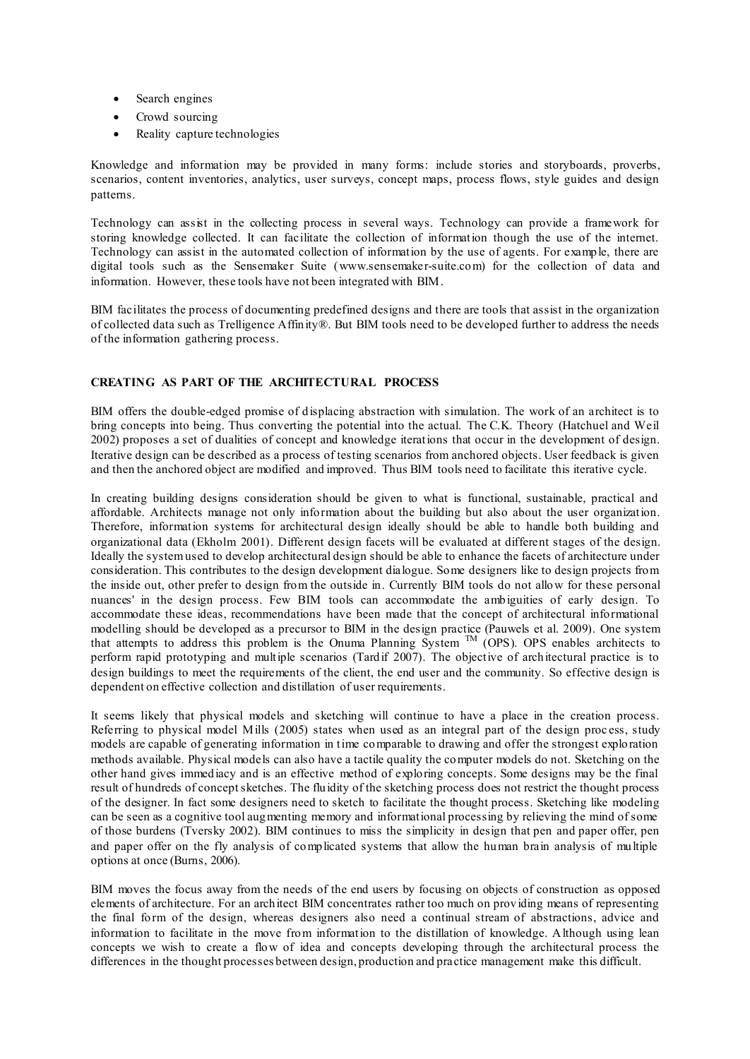- Search engines
- Crowd sourcing
- Reality capture technologies

Knowledge and information may be provided in many forms: include stories and storyboards, proverbs, scenarios, content inventories, analytics, user surveys, concept maps, process flows, style guides and design patterns.

Technology can assist in the collecting process in several ways. Technology can provide a framework for storing knowledge collected. It can facilitate the collection of information though the use of the internet. Technology can assist in the automated collection of information by the use of agents. For example, there are digital tools such as the Sensemaker Suite (www.sensemaker-suite.com) for the collection of data and information. However, these tools have not been integrated with BIM.

BIM facilitates the process of documenting predefined designs and there are tools that assist in the organization of collected data such as Trelligence Affinity®. But BIM tools need to be developed further to address the needs of the information gathering process.

## **CREATING AS PART OF THE ARCHITECTURAL PROCESS**

BIM offers the double-edged promise of displacing abstraction with simulation. The work of an architect is to bring concepts into being. Thus converting the potential into the actual. The C.K. Theory (Hatchuel and Weil 2002) proposes a set of dualities of concept and knowledge iterations that occur in the development of design. Iterative design can be described as a process of testing scenarios from anchored objects. User feedback is given and then the anchored object are modified and improved. Thus BIM tools need to facilitate this iterative cycle.

In creating building designs consideration should be given to what is functional, sustainable, practical and affordable. Architects manage not only information about the building but also about the user organization. Therefore, information systems for architectural design ideally should be able to handle both building and organizational data (Ekholm 2001). Different design facets will be evaluated at different stages of the design. Ideally the system used to develop architectural design should be able to enhance the facets of architecture under consideration. This contributes to the design development dialogue. Some designers like to design projects from the inside out, other prefer to design from the outside in. Currently BIM tools do not allow for these personal nuances' in the design process. Few BIM tools can accommodate the ambiguities of early design. To accommodate these ideas, recommendations have been made that the concept of architectural informational modelling should be developed as a precursor to BIM in the design practice (Pauwels et al. 2009). One system that attempts to address this problem is the Onuma Planning System  $M$  (OPS). OPS enables architects to perform rapid prototyping and multiple scenarios (Tardif 2007). The objective of architectural practice is to design buildings to meet the requirements of the client, the end user and the community. So effective design is dependent on effective collection and distillation of user requirements.

It seems likely that physical models and sketching will continue to have a place in the creation process. Referring to physical model Mills (2005) states when used as an integral part of the design proc ess, study models are capable of generating information in time comparable to drawing and offer the strongest exploration methods available. Physical models can also have a tactile quality the computer models do not. Sketching on the other hand gives immed iacy and is an effective method of exploring concepts. Some designs may be the final result of hundreds of concept sketches. The fluidity of the sketching process does not restrict the thought process of the designer. In fact some designers need to sketch to facilitate the thought process. Sketching like modeling can be seen as a cognitive tool augmenting memory and informational processing by relieving the mind of some of those burdens (Tversky 2002). BIM continues to miss the simplicity in design that pen and paper offer, pen and paper offer on the fly analysis of complicated systems that allow the human brain analysis of multiple options at once (Burns, 2006).

BIM moves the focus away from the needs of the end users by focusing on objects of construction as opposed elements of architecture. For an architect BIM concentrates rather too much on providing means of representing the final form of the design, whereas designers also need a continual stream of abstractions, advice and information to facilitate in the move from information to the distillation of knowledge. Although using lean concepts we wish to create a flow of idea and concepts developing through the architectural process the differences in the thought processes between design, production and practice management make this difficult.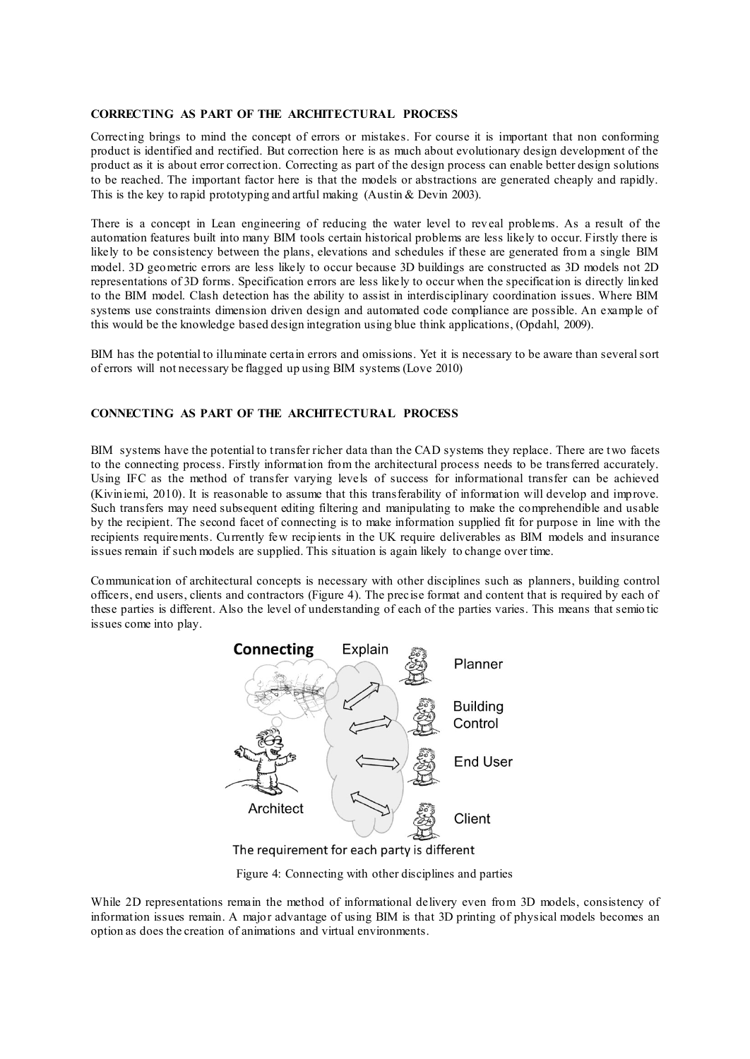#### **CORRECTING AS PART OF THE ARCHITECTURAL PROCESS**

Correcting brings to mind the concept of errors or mistakes. For course it is important that non conforming product is identified and rectified. But correction here is as much about evolutionary design development of the product as it is about error correction. Correcting as part of the design process can enable better design solutions to be reached. The important factor here is that the models or abstractions are generated cheaply and rapidly. This is the key to rapid prototyping and artful making (Austin & Devin 2003).

There is a concept in Lean engineering of reducing the water level to reveal problems. As a result of the automation features built into many BIM tools certain historical problems are less likely to occur. Firstly there is likely to be consistency between the plans, elevations and schedules if these are generated from a single BIM model. 3D geometric errors are less likely to occur because 3D buildings are constructed as 3D models not 2D representations of 3D forms. Specification errors are less likely to occur when the specification is directly linked to the BIM model. Clash detection has the ability to assist in interdisciplinary coordination issues. Where BIM systems use constraints dimension driven design and automated code compliance are possible. An example of this would be the knowledge based design integration using blue think applications, (Opdahl, 2009).

BIM has the potential to illuminate certain errors and omissions. Yet it is necessary to be aware than several sort of errors will not necessary be flagged up using BIM systems (Love 2010)

## **CONNECTING AS PART OF THE ARCHITECTURAL PROCESS**

BIM systems have the potential to transfer richer data than the CAD systems they replace. There are two facets to the connecting process. Firstly information from the architectural process needs to be transferred accurately. Using IFC as the method of transfer varying levels of success for informational transfer can be achieved (Kiviniemi, 2010). It is reasonable to assume that this transferability of information will develop and improve. Such transfers may need subsequent editing filtering and manipulating to make the comprehendible and usable by the recipient. The second facet of connecting is to make information supplied fit for purpose in line with the recipients requirements. Currently few recipients in the UK require deliverables as BIM models and insurance issues remain if such models are supplied. This situation is again likely to change over time.

Communication of architectural concepts is necessary with other disciplines such as planners, building control officers, end users, clients and contractors (Figure 4). The precise format and content that is required by each of these parties is different. Also the level of understanding of each of the parties varies. This means that semio tic issues come into play.



The requirement for each party is different

Figure 4: Connecting with other disciplines and parties

While 2D representations remain the method of informational delivery even from 3D models, consistency of information issues remain. A major advantage of using BIM is that 3D printing of physical models becomes an option as does the creation of animations and virtual environments.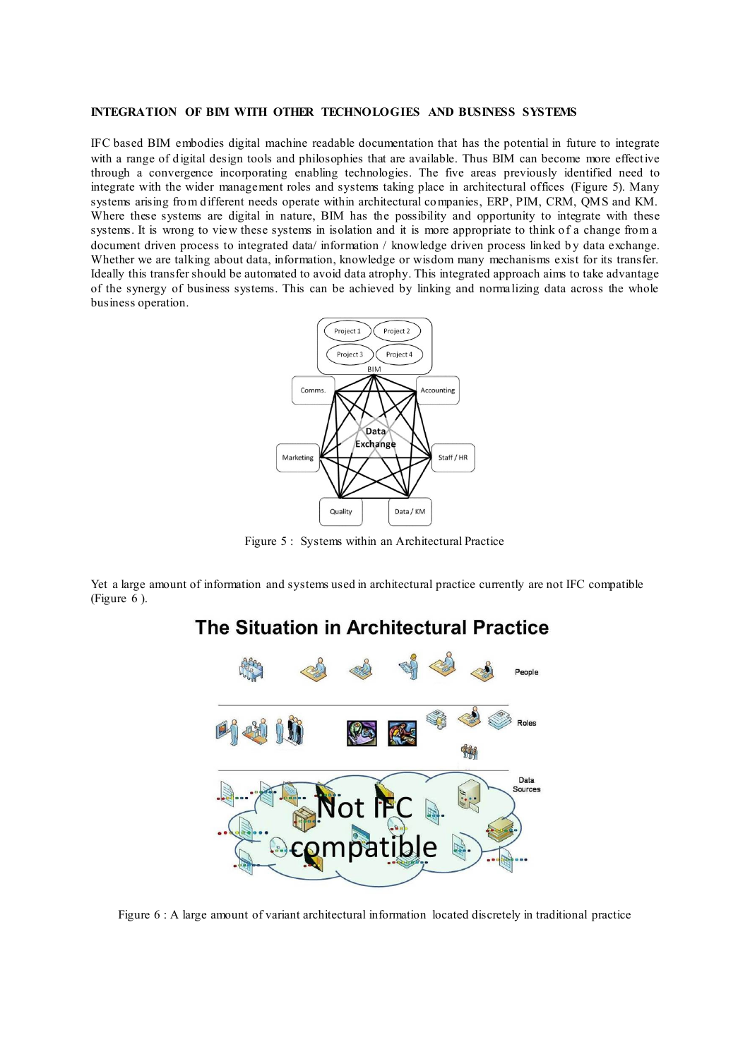#### **INTEGRATION OF BIM WITH OTHER TECHNOLOGIES AND BUSINESS SYSTEMS**

IFC based BIM embodies digital machine readable documentation that has the potential in future to integrate with a range of digital design tools and philosophies that are available. Thus BIM can become more effective through a convergence incorporating enabling technologies. The five areas previously identified need to integrate with the wider management roles and systems taking place in architectural offices (Figure 5). Many systems arising from different needs operate within architectural companies, ERP, PIM, CRM, QMS and KM. Where these systems are digital in nature, BIM has the possibility and opportunity to integrate with these systems. It is wrong to view these systems in isolation and it is more appropriate to think of a change from a document driven process to integrated data/ information / knowledge driven process linked by data exchange. Whether we are talking about data, information, knowledge or wisdom many mechanisms exist for its transfer. Ideally this transfer should be automated to avoid data atrophy. This integrated approach aims to take advantage of the synergy of business systems. This can be achieved by linking and normalizing data across the whole business operation.



Figure 5 : Systems within an Architectural Practice

Yet a large amount of information and systems used in architectural practice currently are not IFC compatible (Figure 6 ).

# The Situation in Architectural Practice



Figure 6 : A large amount of variant architectural information located discretely in traditional practice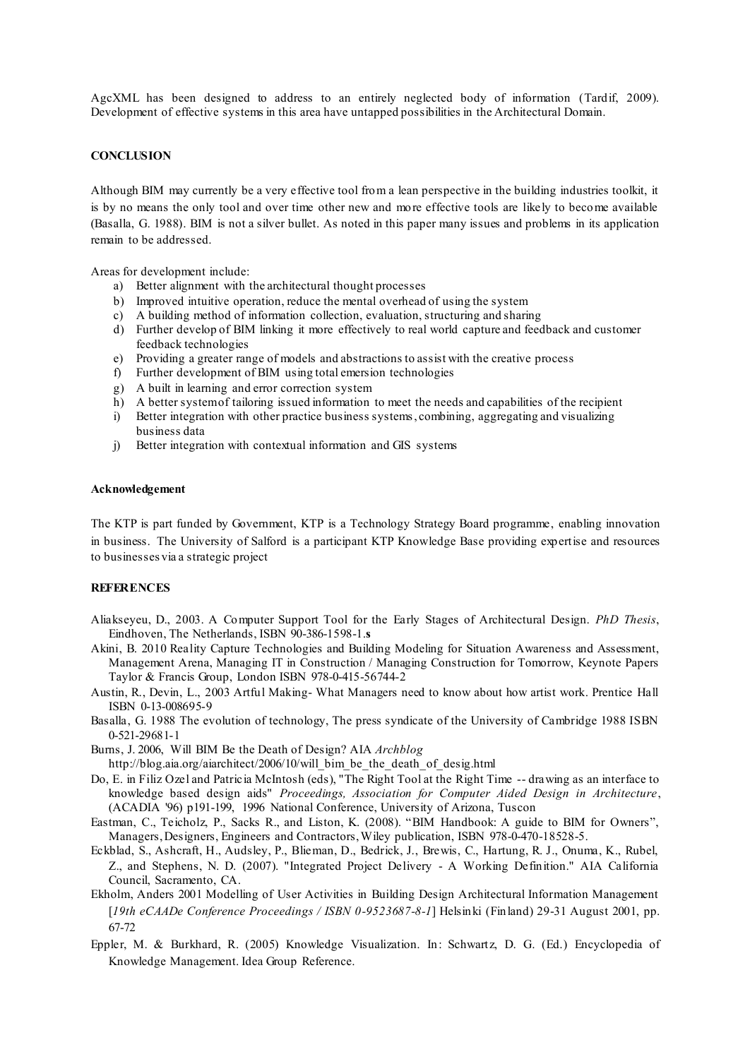AgcXML has been designed to address to an entirely neglected body of information (Tardif, 2009). Development of effective systems in this area have untapped possibilities in the Architectural Domain.

#### **CONCLUSION**

Although BIM may currently be a very effective tool from a lean perspective in the building industries toolkit, it is by no means the only tool and over time other new and more effective tools are likely to become available (Basalla, G. 1988). BIM is not a silver bullet. As noted in this paper many issues and problems in its application remain to be addressed.

Areas for development include:

- a) Better alignment with the architectural thought processes
- b) Improved intuitive operation, reduce the mental overhead of using the system
- c) A building method of information collection, evaluation, structuring and sharing
- d) Further develop of BIM linking it more effectively to real world capture and feedback and customer feedback technologies
- e) Providing a greater range of models and abstractions to assist with the creative process
- f) Further development of BIM using total emersion technologies
- g) A built in learning and error correction system
- h) A better system of tailoring issued information to meet the needs and capabilities of the recipient
- i) Better integration with other practice business systems, combining, aggregating and visualizing business data
- j) Better integration with contextual information and GIS systems

#### **Acknowledgement**

The KTP is part funded by Government, KTP is a Technology Strategy Board programme, enabling innovation in business. The University of Salford is a participant KTP Knowledge Base providing expertise and resources to businesses via a strategic project

#### **REFERENCES**

- Aliakseyeu, D., 2003. A Computer Support Tool for the Early Stages of Architectural Design. *PhD Thesis*, Eindhoven, The Netherlands, ISBN 90-386-1598-1.**s**
- Akini, B. 2010 Reality Capture Technologies and Building Modeling for Situation Awareness and Assessment, Management Arena, Managing IT in Construction / Managing Construction for Tomorrow, Keynote Papers Taylor & Francis Group, London ISBN 978-0-415-56744-2
- Austin, R., Devin, L., 2003 Artful Making- What Managers need to know about how artist work. Prentice Hall ISBN 0-13-008695-9
- Basalla, G. 1988 The evolution of technology, The press syndicate of the University of Cambridge 1988 ISBN 0-521-29681-1
- Burns, J. 2006, Will BIM Be the Death of Design? AIA *Archblog*
	- http://blog.aia.org/aiarchitect/2006/10/will\_bim\_be\_the\_death\_of\_desig.html
- Do, E. in Filiz Ozel and Patricia McIntosh (eds), "The Right Tool at the Right Time -- drawing as an interface to knowledge based design aids" *Proceedings, Association for Computer Aided Design in Architecture*, (ACADIA '96) p191-199, 1996 National Conference, University of Arizona, Tuscon
- Eastman, C., Teicholz, P., Sacks R., and Liston, K. (2008). "BIM Handbook: A guide to BIM for Owners", Managers, Designers, Engineers and Contractors, Wiley publication, ISBN 978-0-470-18528-5.
- Eckblad, S., Ashcraft, H., Audsley, P., Blieman, D., Bedrick, J., Brewis, C., Hartung, R. J., Onuma, K., Rubel, Z., and Stephens, N. D. (2007). "Integrated Project Delivery - A Working Definition." AIA California Council, Sacramento, CA.
- Ekholm, Anders 2001 Modelling of User Activities in Building Design Architectural Information Management [*19th eCAADe Conference Proceedings / ISBN 0-9523687-8-1*] Helsinki (Finland) 29-31 August 2001, pp. 67-72
- Eppler, M. & Burkhard, R. (2005) Knowledge Visualization. In: Schwartz, D. G. (Ed.) Encyclopedia of Knowledge Management. Idea Group Reference.